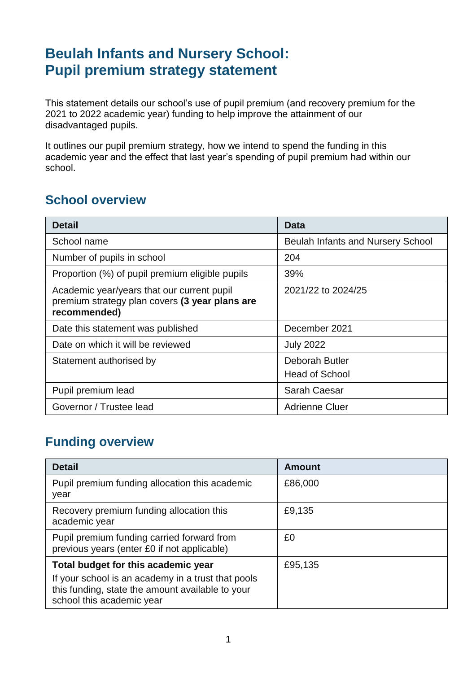## **Beulah Infants and Nursery School: Pupil premium strategy statement**

This statement details our school's use of pupil premium (and recovery premium for the 2021 to 2022 academic year) funding to help improve the attainment of our disadvantaged pupils.

It outlines our pupil premium strategy, how we intend to spend the funding in this academic year and the effect that last year's spending of pupil premium had within our school.

#### **School overview**

| <b>Detail</b>                                                                                                | Data                                     |
|--------------------------------------------------------------------------------------------------------------|------------------------------------------|
| School name                                                                                                  | <b>Beulah Infants and Nursery School</b> |
| Number of pupils in school                                                                                   | 204                                      |
| Proportion (%) of pupil premium eligible pupils                                                              | 39%                                      |
| Academic year/years that our current pupil<br>premium strategy plan covers (3 year plans are<br>recommended) | 2021/22 to 2024/25                       |
| Date this statement was published                                                                            | December 2021                            |
| Date on which it will be reviewed                                                                            | <b>July 2022</b>                         |
| Statement authorised by                                                                                      | Deborah Butler<br><b>Head of School</b>  |
| Pupil premium lead                                                                                           | Sarah Caesar                             |
| Governor / Trustee lead                                                                                      | <b>Adrienne Cluer</b>                    |

#### **Funding overview**

| <b>Detail</b>                                                                             | <b>Amount</b> |
|-------------------------------------------------------------------------------------------|---------------|
| Pupil premium funding allocation this academic<br>year                                    | £86,000       |
| Recovery premium funding allocation this<br>academic year                                 | £9,135        |
| Pupil premium funding carried forward from<br>previous years (enter £0 if not applicable) | £0            |
| Total budget for this academic year<br>If your school is an academy in a trust that pools | £95,135       |
| this funding, state the amount available to your<br>school this academic year             |               |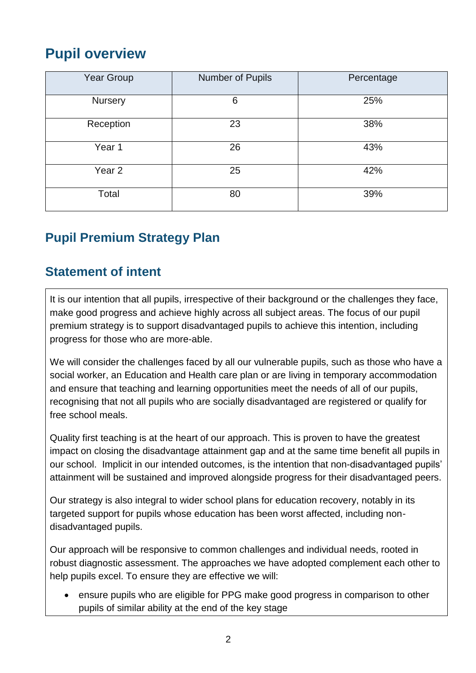## **Pupil overview**

| Year Group | Number of Pupils | Percentage |
|------------|------------------|------------|
| Nursery    | 6                | 25%        |
| Reception  | 23               | 38%        |
| Year 1     | 26               | 43%        |
| Year 2     | 25               | 42%        |
| Total      | 80               | 39%        |

## **Pupil Premium Strategy Plan**

#### **Statement of intent**

It is our intention that all pupils, irrespective of their background or the challenges they face, make good progress and achieve highly across all subject areas. The focus of our pupil premium strategy is to support disadvantaged pupils to achieve this intention, including progress for those who are more-able.

We will consider the challenges faced by all our vulnerable pupils, such as those who have a social worker, an Education and Health care plan or are living in temporary accommodation and ensure that teaching and learning opportunities meet the needs of all of our pupils, recognising that not all pupils who are socially disadvantaged are registered or qualify for free school meals.

Quality first teaching is at the heart of our approach. This is proven to have the greatest impact on closing the disadvantage attainment gap and at the same time benefit all pupils in our school. Implicit in our intended outcomes, is the intention that non-disadvantaged pupils' attainment will be sustained and improved alongside progress for their disadvantaged peers.

Our strategy is also integral to wider school plans for education recovery, notably in its targeted support for pupils whose education has been worst affected, including nondisadvantaged pupils.

Our approach will be responsive to common challenges and individual needs, rooted in robust diagnostic assessment. The approaches we have adopted complement each other to help pupils excel. To ensure they are effective we will:

 ensure pupils who are eligible for PPG make good progress in comparison to other pupils of similar ability at the end of the key stage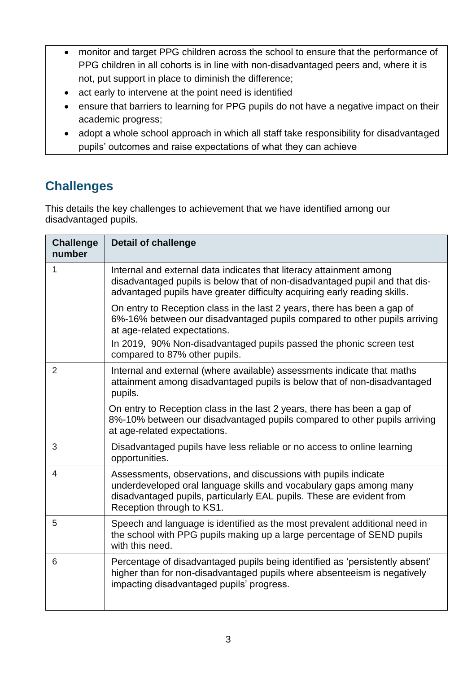- monitor and target PPG children across the school to ensure that the performance of PPG children in all cohorts is in line with non-disadvantaged peers and, where it is not, put support in place to diminish the difference;
- act early to intervene at the point need is identified
- ensure that barriers to learning for PPG pupils do not have a negative impact on their academic progress;
- adopt a whole school approach in which all staff take responsibility for disadvantaged pupils' outcomes and raise expectations of what they can achieve

#### **Challenges**

This details the key challenges to achievement that we have identified among our disadvantaged pupils.

| <b>Challenge</b><br>number | <b>Detail of challenge</b>                                                                                                                                                                                                                  |
|----------------------------|---------------------------------------------------------------------------------------------------------------------------------------------------------------------------------------------------------------------------------------------|
| $\mathbf 1$                | Internal and external data indicates that literacy attainment among<br>disadvantaged pupils is below that of non-disadvantaged pupil and that dis-<br>advantaged pupils have greater difficulty acquiring early reading skills.             |
|                            | On entry to Reception class in the last 2 years, there has been a gap of<br>6%-16% between our disadvantaged pupils compared to other pupils arriving<br>at age-related expectations.                                                       |
|                            | In 2019, 90% Non-disadvantaged pupils passed the phonic screen test<br>compared to 87% other pupils.                                                                                                                                        |
| $\overline{2}$             | Internal and external (where available) assessments indicate that maths<br>attainment among disadvantaged pupils is below that of non-disadvantaged<br>pupils.                                                                              |
|                            | On entry to Reception class in the last 2 years, there has been a gap of<br>8%-10% between our disadvantaged pupils compared to other pupils arriving<br>at age-related expectations.                                                       |
| 3                          | Disadvantaged pupils have less reliable or no access to online learning<br>opportunities.                                                                                                                                                   |
| 4                          | Assessments, observations, and discussions with pupils indicate<br>underdeveloped oral language skills and vocabulary gaps among many<br>disadvantaged pupils, particularly EAL pupils. These are evident from<br>Reception through to KS1. |
| 5                          | Speech and language is identified as the most prevalent additional need in<br>the school with PPG pupils making up a large percentage of SEND pupils<br>with this need.                                                                     |
| 6                          | Percentage of disadvantaged pupils being identified as 'persistently absent'<br>higher than for non-disadvantaged pupils where absenteeism is negatively<br>impacting disadvantaged pupils' progress.                                       |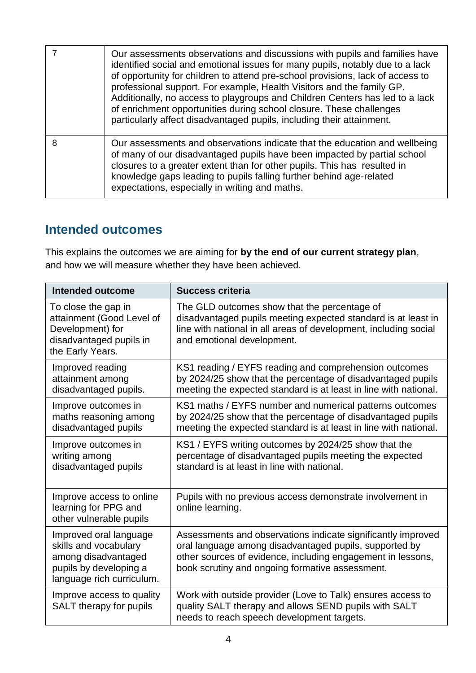|   | Our assessments observations and discussions with pupils and families have<br>identified social and emotional issues for many pupils, notably due to a lack<br>of opportunity for children to attend pre-school provisions, lack of access to<br>professional support. For example, Health Visitors and the family GP.<br>Additionally, no access to playgroups and Children Centers has led to a lack<br>of enrichment opportunities during school closure. These challenges<br>particularly affect disadvantaged pupils, including their attainment. |
|---|--------------------------------------------------------------------------------------------------------------------------------------------------------------------------------------------------------------------------------------------------------------------------------------------------------------------------------------------------------------------------------------------------------------------------------------------------------------------------------------------------------------------------------------------------------|
| 8 | Our assessments and observations indicate that the education and wellbeing<br>of many of our disadvantaged pupils have been impacted by partial school<br>closures to a greater extent than for other pupils. This has resulted in<br>knowledge gaps leading to pupils falling further behind age-related<br>expectations, especially in writing and maths.                                                                                                                                                                                            |

#### **Intended outcomes**

This explains the outcomes we are aiming for **by the end of our current strategy plan**, and how we will measure whether they have been achieved.

| Intended outcome                                                                                                              | <b>Success criteria</b>                                                                                                                                                                                                                  |
|-------------------------------------------------------------------------------------------------------------------------------|------------------------------------------------------------------------------------------------------------------------------------------------------------------------------------------------------------------------------------------|
| To close the gap in<br>attainment (Good Level of<br>Development) for<br>disadvantaged pupils in<br>the Early Years.           | The GLD outcomes show that the percentage of<br>disadvantaged pupils meeting expected standard is at least in<br>line with national in all areas of development, including social<br>and emotional development.                          |
| Improved reading<br>attainment among<br>disadvantaged pupils.                                                                 | KS1 reading / EYFS reading and comprehension outcomes<br>by 2024/25 show that the percentage of disadvantaged pupils<br>meeting the expected standard is at least in line with national.                                                 |
| Improve outcomes in<br>maths reasoning among<br>disadvantaged pupils                                                          | KS1 maths / EYFS number and numerical patterns outcomes<br>by 2024/25 show that the percentage of disadvantaged pupils<br>meeting the expected standard is at least in line with national.                                               |
| Improve outcomes in<br>writing among<br>disadvantaged pupils                                                                  | KS1 / EYFS writing outcomes by 2024/25 show that the<br>percentage of disadvantaged pupils meeting the expected<br>standard is at least in line with national.                                                                           |
| Improve access to online<br>learning for PPG and<br>other vulnerable pupils                                                   | Pupils with no previous access demonstrate involvement in<br>online learning.                                                                                                                                                            |
| Improved oral language<br>skills and vocabulary<br>among disadvantaged<br>pupils by developing a<br>language rich curriculum. | Assessments and observations indicate significantly improved<br>oral language among disadvantaged pupils, supported by<br>other sources of evidence, including engagement in lessons,<br>book scrutiny and ongoing formative assessment. |
| Improve access to quality<br>SALT therapy for pupils                                                                          | Work with outside provider (Love to Talk) ensures access to<br>quality SALT therapy and allows SEND pupils with SALT<br>needs to reach speech development targets.                                                                       |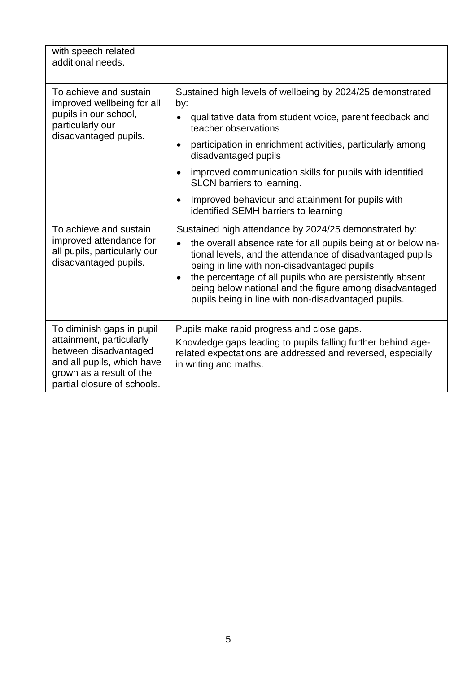| with speech related<br>additional needs.                                                                                                                                |                                                                                                                                                                                                                                                                                                                                                                                                                                    |
|-------------------------------------------------------------------------------------------------------------------------------------------------------------------------|------------------------------------------------------------------------------------------------------------------------------------------------------------------------------------------------------------------------------------------------------------------------------------------------------------------------------------------------------------------------------------------------------------------------------------|
| To achieve and sustain<br>improved wellbeing for all<br>pupils in our school,<br>particularly our<br>disadvantaged pupils.                                              | Sustained high levels of wellbeing by 2024/25 demonstrated<br>by:<br>qualitative data from student voice, parent feedback and<br>teacher observations<br>participation in enrichment activities, particularly among<br>disadvantaged pupils<br>improved communication skills for pupils with identified<br>SLCN barriers to learning.<br>Improved behaviour and attainment for pupils with<br>identified SEMH barriers to learning |
| To achieve and sustain<br>improved attendance for<br>all pupils, particularly our<br>disadvantaged pupils.                                                              | Sustained high attendance by 2024/25 demonstrated by:<br>the overall absence rate for all pupils being at or below na-<br>tional levels, and the attendance of disadvantaged pupils<br>being in line with non-disadvantaged pupils<br>the percentage of all pupils who are persistently absent<br>being below national and the figure among disadvantaged<br>pupils being in line with non-disadvantaged pupils.                   |
| To diminish gaps in pupil<br>attainment, particularly<br>between disadvantaged<br>and all pupils, which have<br>grown as a result of the<br>partial closure of schools. | Pupils make rapid progress and close gaps.<br>Knowledge gaps leading to pupils falling further behind age-<br>related expectations are addressed and reversed, especially<br>in writing and maths.                                                                                                                                                                                                                                 |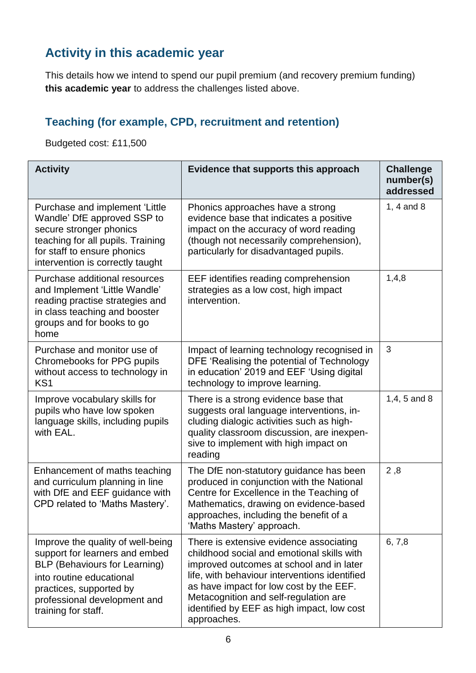## **Activity in this academic year**

This details how we intend to spend our pupil premium (and recovery premium funding) **this academic year** to address the challenges listed above.

#### **Teaching (for example, CPD, recruitment and retention)**

Budgeted cost: £11,500

| <b>Activity</b>                                                                                                                                                                                                           | Evidence that supports this approach                                                                                                                                                                                                                                                                                                | <b>Challenge</b><br>number(s)<br>addressed |
|---------------------------------------------------------------------------------------------------------------------------------------------------------------------------------------------------------------------------|-------------------------------------------------------------------------------------------------------------------------------------------------------------------------------------------------------------------------------------------------------------------------------------------------------------------------------------|--------------------------------------------|
| Purchase and implement 'Little<br>Wandle' DfE approved SSP to<br>secure stronger phonics<br>teaching for all pupils. Training<br>for staff to ensure phonics<br>intervention is correctly taught                          | Phonics approaches have a strong<br>evidence base that indicates a positive<br>impact on the accuracy of word reading<br>(though not necessarily comprehension),<br>particularly for disadvantaged pupils.                                                                                                                          | 1, 4 and 8                                 |
| Purchase additional resources<br>and Implement 'Little Wandle'<br>reading practise strategies and<br>in class teaching and booster<br>groups and for books to go<br>home                                                  | EEF identifies reading comprehension<br>strategies as a low cost, high impact<br>intervention.                                                                                                                                                                                                                                      | 1,4,8                                      |
| Purchase and monitor use of<br>Chromebooks for PPG pupils<br>without access to technology in<br>KS <sub>1</sub>                                                                                                           | Impact of learning technology recognised in<br>DFE 'Realising the potential of Technology<br>in education' 2019 and EEF 'Using digital<br>technology to improve learning.                                                                                                                                                           | 3                                          |
| Improve vocabulary skills for<br>pupils who have low spoken<br>language skills, including pupils<br>with EAL.                                                                                                             | There is a strong evidence base that<br>suggests oral language interventions, in-<br>cluding dialogic activities such as high-<br>quality classroom discussion, are inexpen-<br>sive to implement with high impact on<br>reading                                                                                                    | $1,4,5$ and 8                              |
| Enhancement of maths teaching<br>and curriculum planning in line<br>with DfE and EEF guidance with<br>CPD related to 'Maths Mastery'.                                                                                     | The DfE non-statutory guidance has been<br>produced in conjunction with the National<br>Centre for Excellence in the Teaching of<br>Mathematics, drawing on evidence-based<br>approaches, including the benefit of a<br>'Maths Mastery' approach.                                                                                   | 2,8                                        |
| Improve the quality of well-being<br>support for learners and embed<br><b>BLP (Behaviours for Learning)</b><br>into routine educational<br>practices, supported by<br>professional development and<br>training for staff. | There is extensive evidence associating<br>childhood social and emotional skills with<br>improved outcomes at school and in later<br>life, with behaviour interventions identified<br>as have impact for low cost by the EEF.<br>Metacognition and self-regulation are<br>identified by EEF as high impact, low cost<br>approaches. | 6, 7, 8                                    |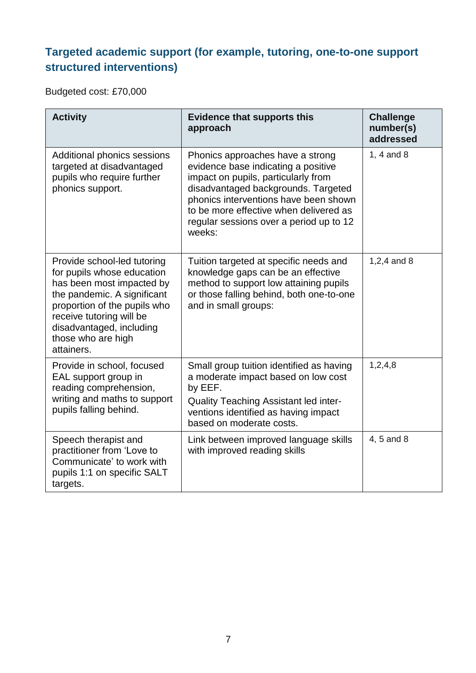#### **Targeted academic support (for example, tutoring, one-to-one support structured interventions)**

Budgeted cost: £70,000

| <b>Activity</b>                                                                                                                                                                                                                                   | <b>Evidence that supports this</b><br>approach                                                                                                                                                                                                                                                | <b>Challenge</b><br>number(s)<br>addressed |
|---------------------------------------------------------------------------------------------------------------------------------------------------------------------------------------------------------------------------------------------------|-----------------------------------------------------------------------------------------------------------------------------------------------------------------------------------------------------------------------------------------------------------------------------------------------|--------------------------------------------|
| Additional phonics sessions<br>targeted at disadvantaged<br>pupils who require further<br>phonics support.                                                                                                                                        | Phonics approaches have a strong<br>evidence base indicating a positive<br>impact on pupils, particularly from<br>disadvantaged backgrounds. Targeted<br>phonics interventions have been shown<br>to be more effective when delivered as<br>regular sessions over a period up to 12<br>weeks: | 1, 4 and $8$                               |
| Provide school-led tutoring<br>for pupils whose education<br>has been most impacted by<br>the pandemic. A significant<br>proportion of the pupils who<br>receive tutoring will be<br>disadvantaged, including<br>those who are high<br>attainers. | Tuition targeted at specific needs and<br>knowledge gaps can be an effective<br>method to support low attaining pupils<br>or those falling behind, both one-to-one<br>and in small groups:                                                                                                    | 1,2,4 and 8                                |
| Provide in school, focused<br>EAL support group in<br>reading comprehension,<br>writing and maths to support<br>pupils falling behind.                                                                                                            | Small group tuition identified as having<br>a moderate impact based on low cost<br>by EEF.<br><b>Quality Teaching Assistant led inter-</b><br>ventions identified as having impact<br>based on moderate costs.                                                                                | 1,2,4,8                                    |
| Speech therapist and<br>practitioner from 'Love to<br>Communicate' to work with<br>pupils 1:1 on specific SALT<br>targets.                                                                                                                        | Link between improved language skills<br>with improved reading skills                                                                                                                                                                                                                         | 4, 5 and 8                                 |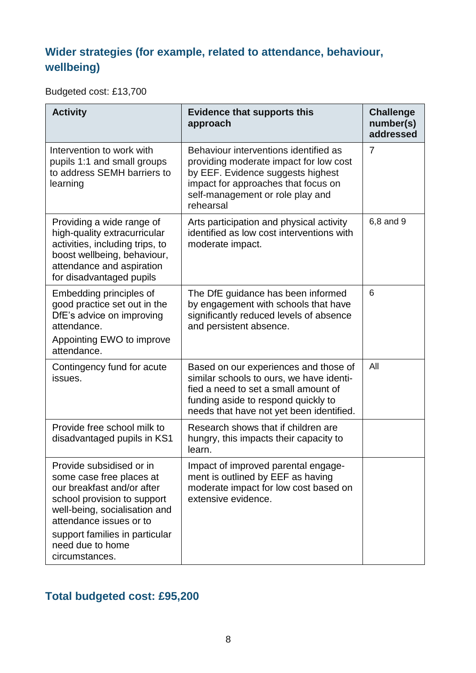#### **Wider strategies (for example, related to attendance, behaviour, wellbeing)**

Budgeted cost: £13,700

| <b>Evidence that supports this</b><br>approach                                                                                                                                                               | <b>Challenge</b><br>number(s)<br>addressed |
|--------------------------------------------------------------------------------------------------------------------------------------------------------------------------------------------------------------|--------------------------------------------|
| Behaviour interventions identified as<br>providing moderate impact for low cost<br>by EEF. Evidence suggests highest<br>impact for approaches that focus on<br>self-management or role play and<br>rehearsal | $\overline{7}$                             |
| Arts participation and physical activity<br>identified as low cost interventions with<br>moderate impact.                                                                                                    | 6,8 and 9                                  |
| The DfE guidance has been informed<br>by engagement with schools that have<br>significantly reduced levels of absence<br>and persistent absence.                                                             | 6                                          |
| Based on our experiences and those of<br>similar schools to ours, we have identi-<br>fied a need to set a small amount of<br>funding aside to respond quickly to<br>needs that have not yet been identified. | All                                        |
| Research shows that if children are<br>hungry, this impacts their capacity to<br>learn.                                                                                                                      |                                            |
| Impact of improved parental engage-<br>ment is outlined by EEF as having<br>moderate impact for low cost based on<br>extensive evidence.                                                                     |                                            |
|                                                                                                                                                                                                              |                                            |

## **Total budgeted cost: £95,200**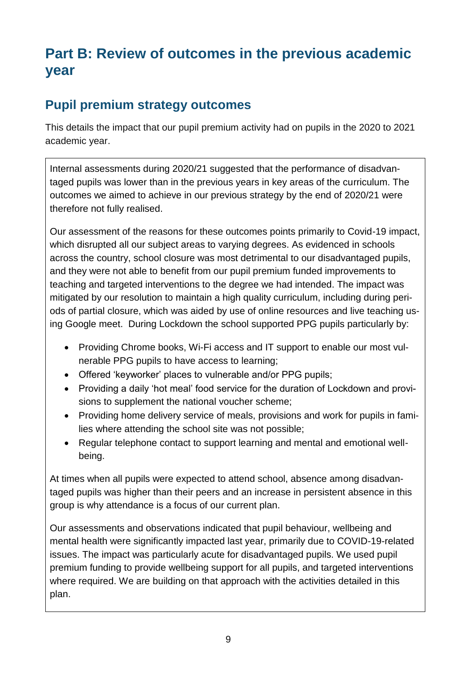## **Part B: Review of outcomes in the previous academic year**

#### **Pupil premium strategy outcomes**

This details the impact that our pupil premium activity had on pupils in the 2020 to 2021 academic year.

Internal assessments during 2020/21 suggested that the performance of disadvantaged pupils was lower than in the previous years in key areas of the curriculum. The outcomes we aimed to achieve in our previous strategy by the end of 2020/21 were therefore not fully realised.

Our assessment of the reasons for these outcomes points primarily to Covid-19 impact, which disrupted all our subject areas to varying degrees. As evidenced in schools across the country, school closure was most detrimental to our disadvantaged pupils, and they were not able to benefit from our pupil premium funded improvements to teaching and targeted interventions to the degree we had intended. The impact was mitigated by our resolution to maintain a high quality curriculum, including during periods of partial closure, which was aided by use of online resources and live teaching using Google meet. During Lockdown the school supported PPG pupils particularly by:

- Providing Chrome books, Wi-Fi access and IT support to enable our most vulnerable PPG pupils to have access to learning;
- Offered 'keyworker' places to vulnerable and/or PPG pupils;
- Providing a daily 'hot meal' food service for the duration of Lockdown and provisions to supplement the national voucher scheme;
- Providing home delivery service of meals, provisions and work for pupils in families where attending the school site was not possible;
- Regular telephone contact to support learning and mental and emotional wellbeing.

At times when all pupils were expected to attend school, absence among disadvantaged pupils was higher than their peers and an increase in persistent absence in this group is why attendance is a focus of our current plan.

Our assessments and observations indicated that pupil behaviour, wellbeing and mental health were significantly impacted last year, primarily due to COVID-19-related issues. The impact was particularly acute for disadvantaged pupils. We used pupil premium funding to provide wellbeing support for all pupils, and targeted interventions where required. We are building on that approach with the activities detailed in this plan.